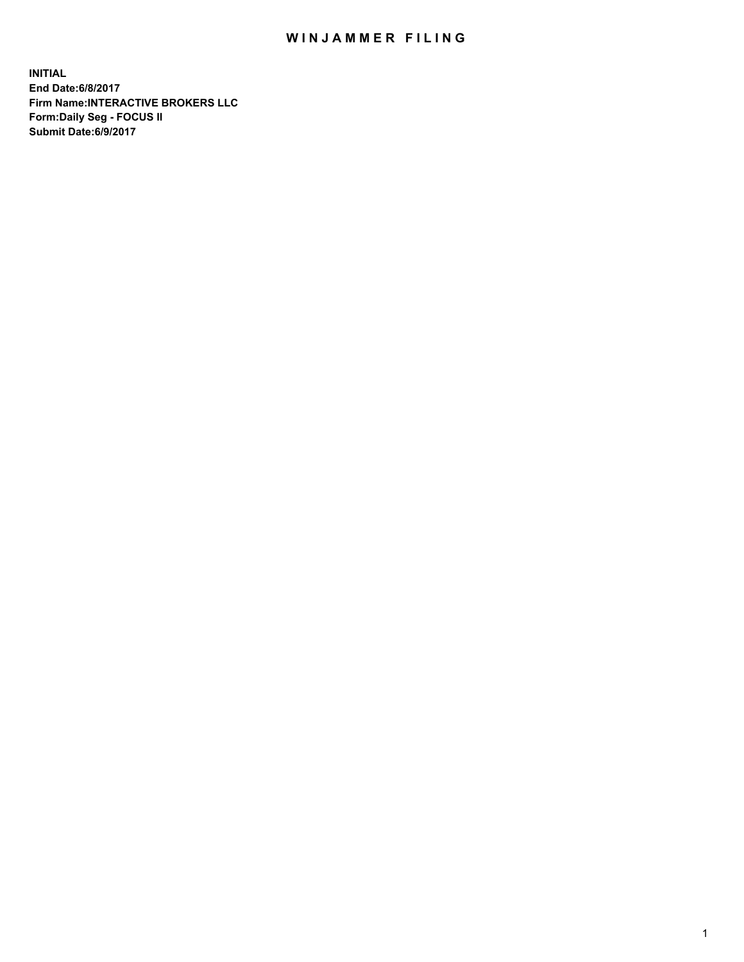## WIN JAMMER FILING

**INITIAL End Date:6/8/2017 Firm Name:INTERACTIVE BROKERS LLC Form:Daily Seg - FOCUS II Submit Date:6/9/2017**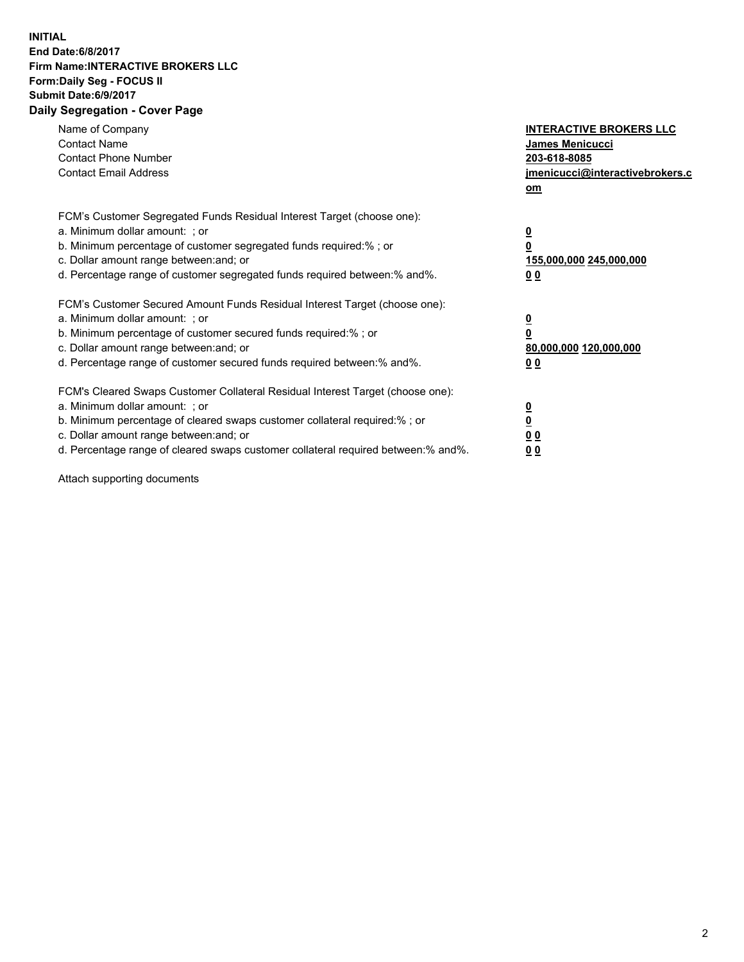## **INITIAL End Date:6/8/2017 Firm Name:INTERACTIVE BROKERS LLC Form:Daily Seg - FOCUS II Submit Date:6/9/2017 Daily Segregation - Cover Page**

| Name of Company<br><b>Contact Name</b><br><b>Contact Phone Number</b><br><b>Contact Email Address</b>                                                                                                                                                                                                                          | <b>INTERACTIVE BROKERS LLC</b><br>James Menicucci<br>203-618-8085<br>jmenicucci@interactivebrokers.c<br>om |
|--------------------------------------------------------------------------------------------------------------------------------------------------------------------------------------------------------------------------------------------------------------------------------------------------------------------------------|------------------------------------------------------------------------------------------------------------|
| FCM's Customer Segregated Funds Residual Interest Target (choose one):<br>a. Minimum dollar amount: ; or<br>b. Minimum percentage of customer segregated funds required:% ; or<br>c. Dollar amount range between: and; or<br>d. Percentage range of customer segregated funds required between:% and%.                         | $\overline{\mathbf{0}}$<br>0<br>155,000,000 245,000,000<br>0 <sub>0</sub>                                  |
| FCM's Customer Secured Amount Funds Residual Interest Target (choose one):<br>a. Minimum dollar amount: ; or<br>b. Minimum percentage of customer secured funds required:%; or<br>c. Dollar amount range between: and; or<br>d. Percentage range of customer secured funds required between: % and %.                          | $\overline{\mathbf{0}}$<br>$\overline{\mathbf{0}}$<br>80,000,000 120,000,000<br>00                         |
| FCM's Cleared Swaps Customer Collateral Residual Interest Target (choose one):<br>a. Minimum dollar amount: ; or<br>b. Minimum percentage of cleared swaps customer collateral required:% ; or<br>c. Dollar amount range between: and; or<br>d. Percentage range of cleared swaps customer collateral required between:% and%. | $\underline{\mathbf{0}}$<br>$\underline{\mathbf{0}}$<br>0 <sub>0</sub><br>0 <sub>0</sub>                   |

Attach supporting documents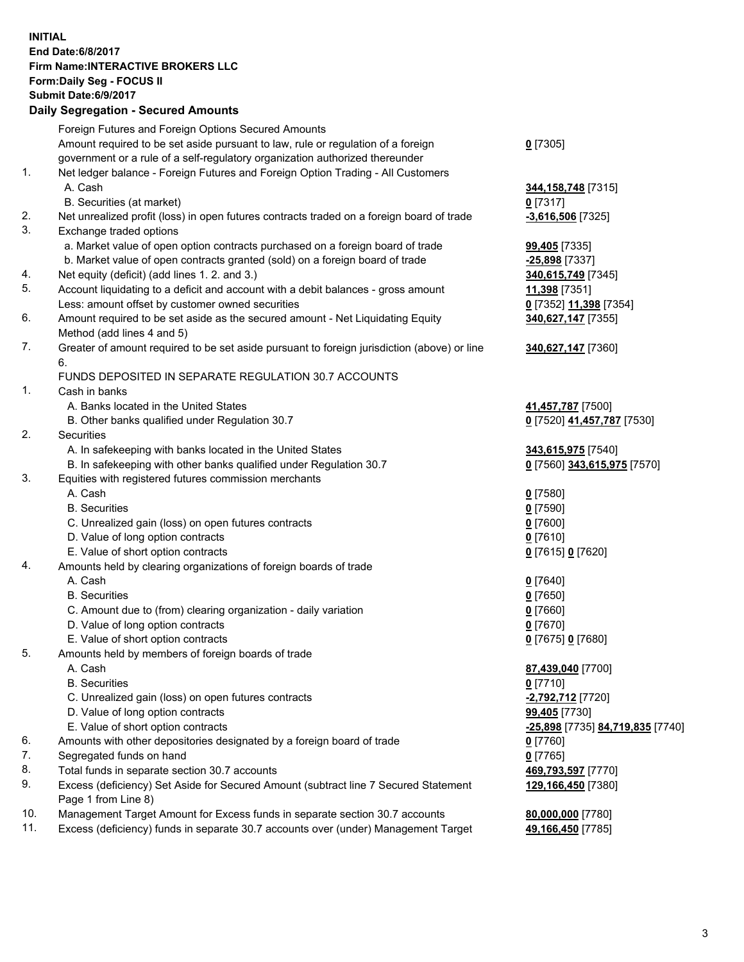## **INITIAL End Date:6/8/2017 Firm Name:INTERACTIVE BROKERS LLC Form:Daily Seg - FOCUS II Submit Date:6/9/2017 Daily Segregation - Secured Amounts**

|     | Foreign Futures and Foreign Options Secured Amounts                                                          |                                  |
|-----|--------------------------------------------------------------------------------------------------------------|----------------------------------|
|     | Amount required to be set aside pursuant to law, rule or regulation of a foreign                             | $0$ [7305]                       |
|     | government or a rule of a self-regulatory organization authorized thereunder                                 |                                  |
| 1.  | Net ledger balance - Foreign Futures and Foreign Option Trading - All Customers                              |                                  |
|     | A. Cash                                                                                                      | 344, 158, 748 [7315]             |
|     | B. Securities (at market)                                                                                    | $0$ [7317]                       |
| 2.  | Net unrealized profit (loss) in open futures contracts traded on a foreign board of trade                    | $-3,616,506$ [7325]              |
| 3.  | Exchange traded options                                                                                      |                                  |
|     | a. Market value of open option contracts purchased on a foreign board of trade                               | 99,405 [7335]                    |
|     | b. Market value of open contracts granted (sold) on a foreign board of trade                                 | $-25,898$ [7337]                 |
| 4.  | Net equity (deficit) (add lines 1.2. and 3.)                                                                 | 340,615,749 [7345]               |
| 5.  | Account liquidating to a deficit and account with a debit balances - gross amount                            |                                  |
|     |                                                                                                              | 11,398 [7351]                    |
|     | Less: amount offset by customer owned securities                                                             | 0 [7352] 11,398 [7354]           |
| 6.  | Amount required to be set aside as the secured amount - Net Liquidating Equity<br>Method (add lines 4 and 5) | 340,627,147 [7355]               |
| 7.  | Greater of amount required to be set aside pursuant to foreign jurisdiction (above) or line                  | 340,627,147 [7360]               |
|     | 6.                                                                                                           |                                  |
|     | FUNDS DEPOSITED IN SEPARATE REGULATION 30.7 ACCOUNTS                                                         |                                  |
| 1.  | Cash in banks                                                                                                |                                  |
|     | A. Banks located in the United States                                                                        | 41,457,787 [7500]                |
|     | B. Other banks qualified under Regulation 30.7                                                               | 0 [7520] 41,457,787 [7530]       |
| 2.  | Securities                                                                                                   |                                  |
|     | A. In safekeeping with banks located in the United States                                                    | 343,615,975 [7540]               |
|     | B. In safekeeping with other banks qualified under Regulation 30.7                                           | 0 [7560] 343,615,975 [7570]      |
| 3.  | Equities with registered futures commission merchants                                                        |                                  |
|     | A. Cash                                                                                                      | $0$ [7580]                       |
|     | <b>B.</b> Securities                                                                                         | $0$ [7590]                       |
|     | C. Unrealized gain (loss) on open futures contracts                                                          | $0$ [7600]                       |
|     | D. Value of long option contracts                                                                            | $0$ [7610]                       |
|     | E. Value of short option contracts                                                                           | 0 [7615] 0 [7620]                |
| 4.  | Amounts held by clearing organizations of foreign boards of trade                                            |                                  |
|     | A. Cash                                                                                                      |                                  |
|     | <b>B.</b> Securities                                                                                         | $0$ [7640]                       |
|     |                                                                                                              | $0$ [7650]                       |
|     | C. Amount due to (from) clearing organization - daily variation                                              | $0$ [7660]                       |
|     | D. Value of long option contracts                                                                            | $0$ [7670]                       |
|     | E. Value of short option contracts                                                                           | 0 [7675] 0 [7680]                |
| 5.  | Amounts held by members of foreign boards of trade                                                           |                                  |
|     | A. Cash                                                                                                      | 87,439,040 [7700]                |
|     | <b>B.</b> Securities                                                                                         | $0$ [7710]                       |
|     | C. Unrealized gain (loss) on open futures contracts                                                          | -2,792,712 [7720]                |
|     | D. Value of long option contracts                                                                            | 99,405 [7730]                    |
|     | E. Value of short option contracts                                                                           | -25,898 [7735] 84,719,835 [7740] |
| 6.  | Amounts with other depositories designated by a foreign board of trade                                       | $0$ [7760]                       |
| 7.  | Segregated funds on hand                                                                                     | $0$ [7765]                       |
| 8.  | Total funds in separate section 30.7 accounts                                                                | 469,793,597 [7770]               |
| 9.  | Excess (deficiency) Set Aside for Secured Amount (subtract line 7 Secured Statement                          | 129,166,450 [7380]               |
|     | Page 1 from Line 8)                                                                                          |                                  |
| 10. | Management Target Amount for Excess funds in separate section 30.7 accounts                                  | 80,000,000 [7780]                |
| 11. | Excess (deficiency) funds in separate 30.7 accounts over (under) Management Target                           | 49,166,450 [7785]                |
|     |                                                                                                              |                                  |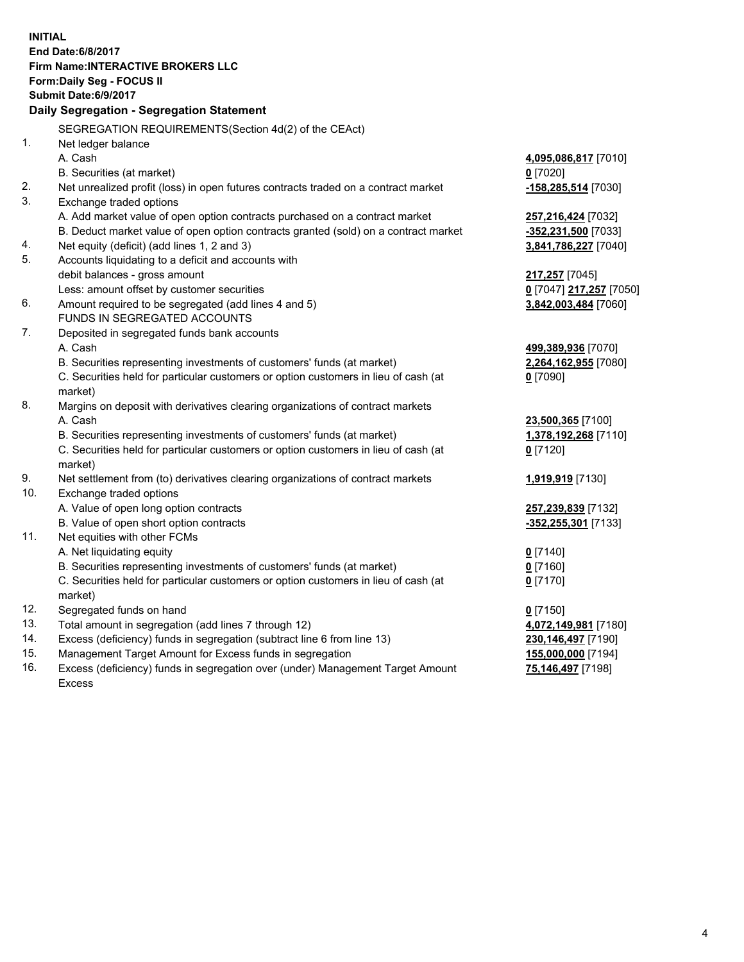**INITIAL End Date:6/8/2017 Firm Name:INTERACTIVE BROKERS LLC Form:Daily Seg - FOCUS II Submit Date:6/9/2017 Daily Segregation - Segregation Statement** SEGREGATION REQUIREMENTS(Section 4d(2) of the CEAct) 1. Net ledger balance A. Cash **4,095,086,817** [7010] B. Securities (at market) **0** [7020] 2. Net unrealized profit (loss) in open futures contracts traded on a contract market **-158,285,514** [7030] 3. Exchange traded options A. Add market value of open option contracts purchased on a contract market **257,216,424** [7032] B. Deduct market value of open option contracts granted (sold) on a contract market **-352,231,500** [7033] 4. Net equity (deficit) (add lines 1, 2 and 3) **3,841,786,227** [7040] 5. Accounts liquidating to a deficit and accounts with debit balances - gross amount **217,257** [7045] Less: amount offset by customer securities **0** [7047] **217,257** [7050] 6. Amount required to be segregated (add lines 4 and 5) **3,842,003,484** [7060] FUNDS IN SEGREGATED ACCOUNTS 7. Deposited in segregated funds bank accounts A. Cash **499,389,936** [7070] B. Securities representing investments of customers' funds (at market) **2,264,162,955** [7080] C. Securities held for particular customers or option customers in lieu of cash (at market) **0** [7090] 8. Margins on deposit with derivatives clearing organizations of contract markets A. Cash **23,500,365** [7100] B. Securities representing investments of customers' funds (at market) **1,378,192,268** [7110] C. Securities held for particular customers or option customers in lieu of cash (at market) **0** [7120] 9. Net settlement from (to) derivatives clearing organizations of contract markets **1,919,919** [7130] 10. Exchange traded options A. Value of open long option contracts **257,239,839** [7132] B. Value of open short option contracts **-352,255,301** [7133] 11. Net equities with other FCMs A. Net liquidating equity **0** [7140] B. Securities representing investments of customers' funds (at market) **0** [7160] C. Securities held for particular customers or option customers in lieu of cash (at market) **0** [7170] 12. Segregated funds on hand **0** [7150] 13. Total amount in segregation (add lines 7 through 12) **4,072,149,981** [7180] 14. Excess (deficiency) funds in segregation (subtract line 6 from line 13) **230,146,497** [7190] 15. Management Target Amount for Excess funds in segregation **155,000,000** [7194] **75,146,497** [7198]

16. Excess (deficiency) funds in segregation over (under) Management Target Amount Excess